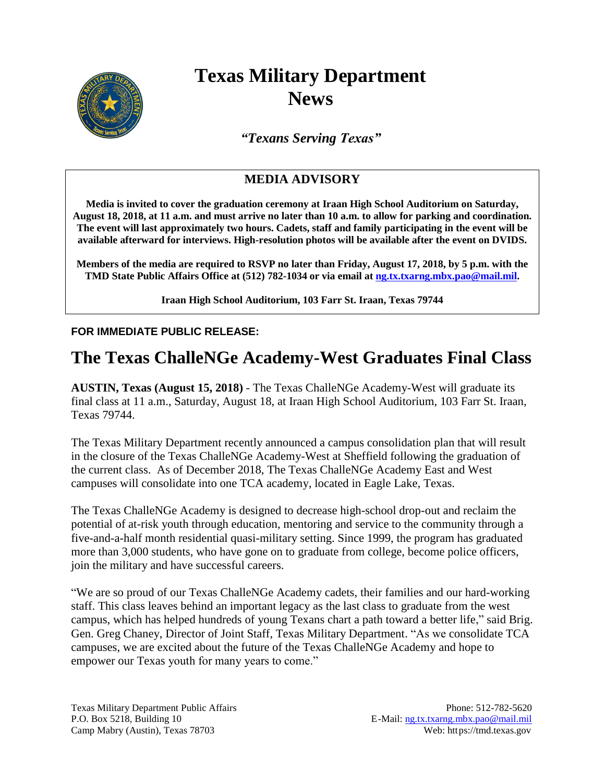

# **Texas Military Department News**

*"Texans Serving Texas"*

### **MEDIA ADVISORY**

**Media is invited to cover the graduation ceremony at Iraan High School Auditorium on Saturday, August 18, 2018, at 11 a.m. and must arrive no later than 10 a.m. to allow for parking and coordination. The event will last approximately two hours. Cadets, staff and family participating in the event will be available afterward for interviews. High-resolution photos will be available after the event on DVIDS.**

**Members of the media are required to RSVP no later than Friday, August 17, 2018, by 5 p.m. with the TMD State Public Affairs Office at (512) 782-1034 or via email at ng.tx.txarng.mbx.pao@mail.mil.**

**Iraan High School Auditorium, 103 Farr St. Iraan, Texas 79744**

#### **FOR IMMEDIATE PUBLIC RELEASE:**

## **The Texas ChalleNGe Academy-West Graduates Final Class**

**AUSTIN, Texas (August 15, 2018)** - The Texas ChalleNGe Academy-West will graduate its final class at 11 a.m., Saturday, August 18, at Iraan High School Auditorium, 103 Farr St. Iraan, Texas 79744.

The Texas Military Department recently announced a campus consolidation plan that will result in the closure of the Texas ChalleNGe Academy-West at Sheffield following the graduation of the current class. As of December 2018, The Texas ChalleNGe Academy East and West campuses will consolidate into one TCA academy, located in Eagle Lake, Texas.

The Texas ChalleNGe Academy is designed to decrease high-school drop-out and reclaim the potential of at-risk youth through education, mentoring and service to the community through a five-and-a-half month residential quasi-military setting. Since 1999, the program has graduated more than 3,000 students, who have gone on to graduate from college, become police officers, join the military and have successful careers.

"We are so proud of our Texas ChalleNGe Academy cadets, their families and our hard-working staff. This class leaves behind an important legacy as the last class to graduate from the west campus, which has helped hundreds of young Texans chart a path toward a better life," said Brig. Gen. Greg Chaney, Director of Joint Staff, Texas Military Department. "As we consolidate TCA campuses, we are excited about the future of the Texas ChalleNGe Academy and hope to empower our Texas youth for many years to come."